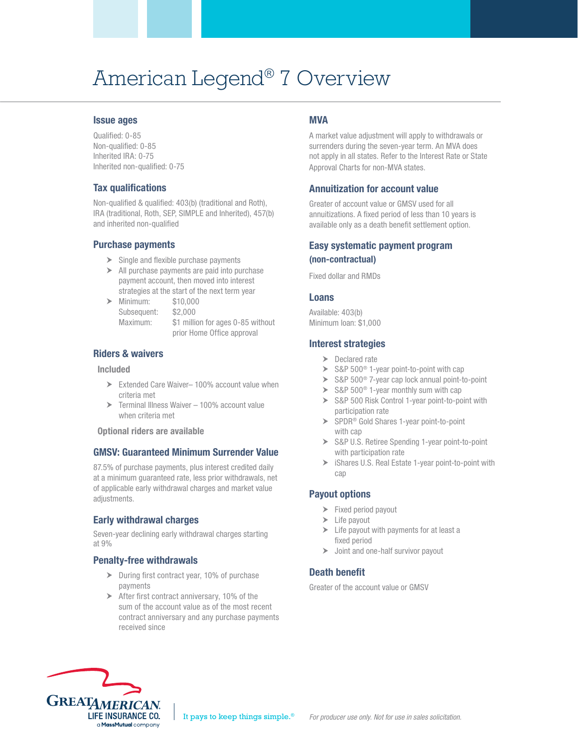# American Legend® 7 Overview

#### Issue ages

Qualified: 0-85 Non-qualified: 0-85 Inherited IRA: 0-75 Inherited non-qualified: 0-75

## Tax qualifications

Non-qualified & qualified: 403(b) (traditional and Roth), IRA (traditional, Roth, SEP, SIMPLE and Inherited), 457(b) and inherited non-qualified

## Purchase payments

- $\triangleright$  Single and flexible purchase payments
- $\triangleright$  All purchase payments are paid into purchase payment account, then moved into interest strategies at the start of the next term year
- Minimum: \$10,000 Subsequent: \$2,000

Maximum: \$1 million for ages 0-85 without prior Home Office approval

## Riders & waivers

#### Included

- ▶ Extended Care Waiver– 100% account value when criteria met
- ▶ Terminal Illness Waiver 100% account value when criteria met

Optional riders are available

## GMSV: Guaranteed Minimum Surrender Value

87.5% of purchase payments, plus interest credited daily at a minimum guaranteed rate, less prior withdrawals, net of applicable early withdrawal charges and market value adjustments.

## Early withdrawal charges

Seven-year declining early withdrawal charges starting at 9%

## Penalty-free withdrawals

- > During first contract year, 10% of purchase payments
- After first contract anniversary, 10% of the sum of the account value as of the most recent contract anniversary and any purchase payments received since

# **MVA**

A market value adjustment will apply to withdrawals or surrenders during the seven-year term. An MVA does not apply in all states. Refer to the Interest Rate or State Approval Charts for non-MVA states.

# Annuitization for account value

Greater of account value or GMSV used for all annuitizations. A fixed period of less than 10 years is available only as a death benefit settlement option.

## Easy systematic payment program (non-contractual)

Fixed dollar and RMDs

#### Loans

Available: 403(b) Minimum loan: \$1,000

#### Interest strategies

- > Declared rate
- $\triangleright$  S&P 500<sup>®</sup> 1-year point-to-point with cap
- S&P 500<sup>®</sup> 7-year cap lock annual point-to-point
- $\triangleright$  S&P 500<sup>®</sup> 1-year monthly sum with cap
- S&P 500 Risk Control 1-year point-to-point with participation rate
- SPDR® Gold Shares 1-year point-to-point with cap
- S&P U.S. Retiree Spending 1-year point-to-point with participation rate
- iShares U.S. Real Estate 1-year point-to-point with cap

# Payout options

- Fixed period payout
- $\blacktriangleright$  Life payout
- $\blacktriangleright$  Life payout with payments for at least a fixed period
- > Joint and one-half survivor payout

# Death benefit

Greater of the account value or GMSV

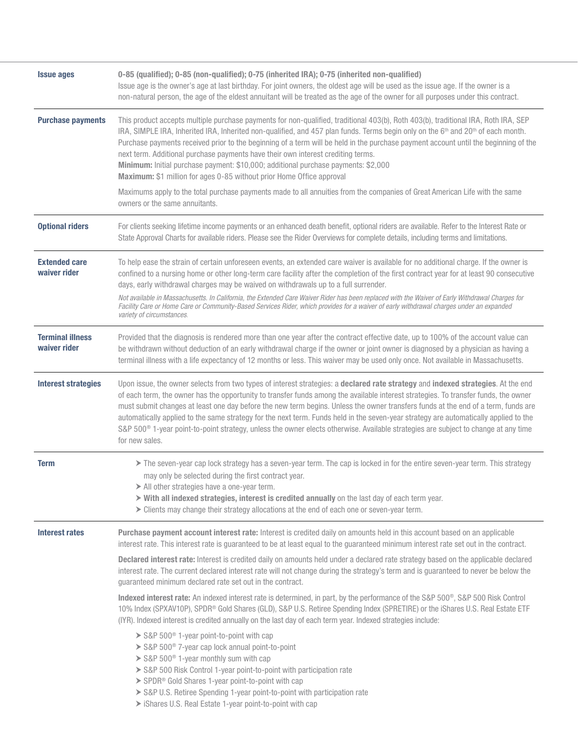| <b>Issue ages</b>                       | 0-85 (qualified); 0-85 (non-qualified); 0-75 (inherited IRA); 0-75 (inherited non-qualified)<br>Issue age is the owner's age at last birthday. For joint owners, the oldest age will be used as the issue age. If the owner is a<br>non-natural person, the age of the eldest annuitant will be treated as the age of the owner for all purposes under this contract.                                                                                                                                                                                                                                                                                                                                                    |  |  |  |  |  |  |
|-----------------------------------------|--------------------------------------------------------------------------------------------------------------------------------------------------------------------------------------------------------------------------------------------------------------------------------------------------------------------------------------------------------------------------------------------------------------------------------------------------------------------------------------------------------------------------------------------------------------------------------------------------------------------------------------------------------------------------------------------------------------------------|--|--|--|--|--|--|
| <b>Purchase payments</b>                | This product accepts multiple purchase payments for non-qualified, traditional 403(b), Roth 403(b), traditional IRA, Roth IRA, SEP<br>IRA, SIMPLE IRA, Inherited IRA, Inherited non-qualified, and 457 plan funds. Terms begin only on the 6 <sup>th</sup> and 20 <sup>th</sup> of each month.<br>Purchase payments received prior to the beginning of a term will be held in the purchase payment account until the beginning of the<br>next term. Additional purchase payments have their own interest crediting terms.<br>Minimum: Initial purchase payment: \$10,000; additional purchase payments: \$2,000<br>Maximum: \$1 million for ages 0-85 without prior Home Office approval                                 |  |  |  |  |  |  |
|                                         | Maximums apply to the total purchase payments made to all annuities from the companies of Great American Life with the same<br>owners or the same annuitants.                                                                                                                                                                                                                                                                                                                                                                                                                                                                                                                                                            |  |  |  |  |  |  |
| <b>Optional riders</b>                  | For clients seeking lifetime income payments or an enhanced death benefit, optional riders are available. Refer to the Interest Rate or<br>State Approval Charts for available riders. Please see the Rider Overviews for complete details, including terms and limitations.                                                                                                                                                                                                                                                                                                                                                                                                                                             |  |  |  |  |  |  |
| <b>Extended care</b><br>waiver rider    | To help ease the strain of certain unforeseen events, an extended care waiver is available for no additional charge. If the owner is<br>confined to a nursing home or other long-term care facility after the completion of the first contract year for at least 90 consecutive<br>days, early withdrawal charges may be waived on withdrawals up to a full surrender.<br>Not available in Massachusetts. In California, the Extended Care Waiver Rider has been replaced with the Waiver of Early Withdrawal Charges for<br>Facility Care or Home Care or Community-Based Services Rider, which provides for a waiver of early withdrawal charges under an expanded<br>variety of circumstances.                        |  |  |  |  |  |  |
| <b>Terminal illness</b><br>waiver rider | Provided that the diagnosis is rendered more than one year after the contract effective date, up to 100% of the account value can<br>be withdrawn without deduction of an early withdrawal charge if the owner or joint owner is diagnosed by a physician as having a<br>terminal illness with a life expectancy of 12 months or less. This waiver may be used only once. Not available in Massachusetts.                                                                                                                                                                                                                                                                                                                |  |  |  |  |  |  |
| <b>Interest strategies</b>              | Upon issue, the owner selects from two types of interest strategies: a declared rate strategy and indexed strategies. At the end<br>of each term, the owner has the opportunity to transfer funds among the available interest strategies. To transfer funds, the owner<br>must submit changes at least one day before the new term begins. Unless the owner transfers funds at the end of a term, funds are<br>automatically applied to the same strategy for the next term. Funds held in the seven-year strategy are automatically applied to the<br>S&P 500 <sup>®</sup> 1-year point-to-point strategy, unless the owner elects otherwise. Available strategies are subject to change at any time<br>for new sales. |  |  |  |  |  |  |
| <b>Term</b>                             | The seven-year cap lock strategy has a seven-year term. The cap is locked in for the entire seven-year term. This strategy<br>may only be selected during the first contract year.<br>$\triangleright$ All other strategies have a one-year term.<br>> With all indexed strategies, interest is credited annually on the last day of each term year.<br>> Clients may change their strategy allocations at the end of each one or seven-year term.                                                                                                                                                                                                                                                                       |  |  |  |  |  |  |
| Interest rates                          | Purchase payment account interest rate: Interest is credited daily on amounts held in this account based on an applicable<br>interest rate. This interest rate is guaranteed to be at least equal to the guaranteed minimum interest rate set out in the contract.<br>Declared interest rate: Interest is credited daily on amounts held under a declared rate strategy based on the applicable declared<br>interest rate. The current declared interest rate will not change during the strategy's term and is guaranteed to never be below the<br>guaranteed minimum declared rate set out in the contract.                                                                                                            |  |  |  |  |  |  |
|                                         | Indexed interest rate: An indexed interest rate is determined, in part, by the performance of the S&P 500 <sup>®</sup> , S&P 500 Risk Control<br>10% Index (SPXAV10P), SPDR® Gold Shares (GLD), S&P U.S. Retiree Spending Index (SPRETIRE) or the iShares U.S. Real Estate ETF<br>(IYR). Indexed interest is credited annually on the last day of each term year. Indexed strategies include:                                                                                                                                                                                                                                                                                                                            |  |  |  |  |  |  |
|                                         | > S&P 500 <sup>®</sup> 1-year point-to-point with cap<br>> S&P 500 <sup>®</sup> 7-year cap lock annual point-to-point<br>> S&P 500 <sup>®</sup> 1-year monthly sum with cap<br>> S&P 500 Risk Control 1-year point-to-point with participation rate<br>> SPDR <sup>®</sup> Gold Shares 1-year point-to-point with cap<br>> S&P U.S. Retiree Spending 1-year point-to-point with participation rate<br>> iShares U.S. Real Estate 1-year point-to-point with cap                                                                                                                                                                                                                                                          |  |  |  |  |  |  |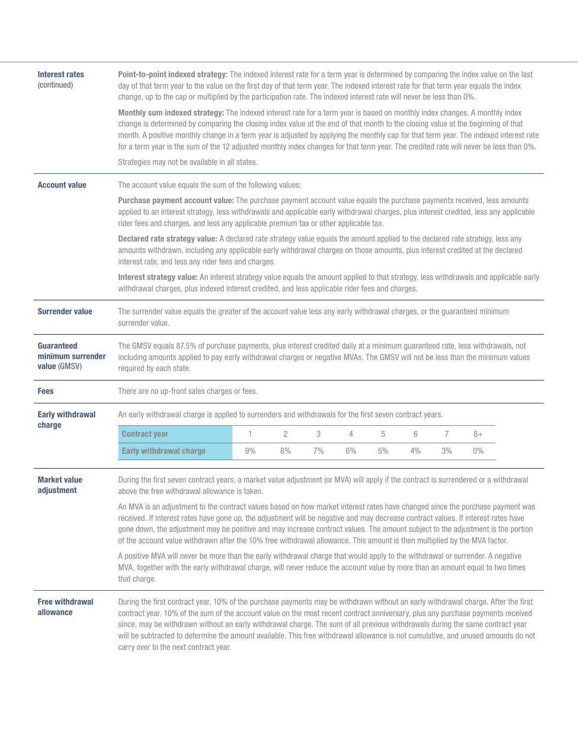| Interest rates<br>(continued)                          | Point-to-point indexed strategy: The indexed interest rate for a term year is determined by comparing the index value on the last<br>day of that term year to the value on the first day of that term year. The indexed interest rate for that term year equals the index<br>change, up to the cap or multiplied by the participation rate. The indexed interest rate will never be less than 0%.                                                                                                                                                                                   |    |                |    |    |    |    |                |       |  |
|--------------------------------------------------------|-------------------------------------------------------------------------------------------------------------------------------------------------------------------------------------------------------------------------------------------------------------------------------------------------------------------------------------------------------------------------------------------------------------------------------------------------------------------------------------------------------------------------------------------------------------------------------------|----|----------------|----|----|----|----|----------------|-------|--|
|                                                        | Monthly sum indexed strategy: The indexed interest rate for a term year is based on monthly index changes. A monthly index<br>change is determined by comparing the closing index value at the end of that month to the closing value at the beginning of that<br>month. A positive monthly change in a term year is adjusted by applying the monthly cap for that term year. The indexed interest rate<br>for a term year is the sum of the 12 adjusted monthly index changes for that term year. The credited rate will never be less than 0%.                                    |    |                |    |    |    |    |                |       |  |
|                                                        | Strategies may not be available in all states.                                                                                                                                                                                                                                                                                                                                                                                                                                                                                                                                      |    |                |    |    |    |    |                |       |  |
| <b>Account value</b>                                   | The account value equals the sum of the following values:                                                                                                                                                                                                                                                                                                                                                                                                                                                                                                                           |    |                |    |    |    |    |                |       |  |
|                                                        | Purchase payment account value: The purchase payment account value equals the purchase payments received, less amounts<br>applied to an interest strategy, less withdrawals and applicable early withdrawal charges, plus interest credited, less any applicable<br>rider fees and charges, and less any applicable premium tax or other applicable tax.                                                                                                                                                                                                                            |    |                |    |    |    |    |                |       |  |
|                                                        | Declared rate strategy value: A declared rate strategy value equals the amount applied to the declared rate strategy, less any<br>amounts withdrawn, including any applicable early withdrawal charges on those amounts, plus interest credited at the declared<br>interest rate, and less any rider fees and charges.                                                                                                                                                                                                                                                              |    |                |    |    |    |    |                |       |  |
|                                                        | Interest strategy value: An interest strategy value equals the amount applied to that strategy, less withdrawals and applicable early<br>withdrawal charges, plus indexed interest credited, and less applicable rider fees and charges.                                                                                                                                                                                                                                                                                                                                            |    |                |    |    |    |    |                |       |  |
| <b>Surrender value</b>                                 | The surrender value equals the greater of the account value less any early withdrawal charges, or the guaranteed minimum<br>surrender value.                                                                                                                                                                                                                                                                                                                                                                                                                                        |    |                |    |    |    |    |                |       |  |
| <b>Guaranteed</b><br>minimum surrender<br>value (GMSV) | The GMSV equals 87.5% of purchase payments, plus interest credited daily at a minimum guaranteed rate, less withdrawals, not<br>including amounts applied to pay early withdrawal charges or negative MVAs. The GMSV will not be less than the minimum values<br>required by each state.                                                                                                                                                                                                                                                                                            |    |                |    |    |    |    |                |       |  |
| <b>Fees</b>                                            | There are no up-front sales charges or fees.                                                                                                                                                                                                                                                                                                                                                                                                                                                                                                                                        |    |                |    |    |    |    |                |       |  |
| <b>Early withdrawal</b>                                | An early withdrawal charge is applied to surrenders and withdrawals for the first seven contract years.                                                                                                                                                                                                                                                                                                                                                                                                                                                                             |    |                |    |    |    |    |                |       |  |
| charge                                                 | <b>Contract year</b>                                                                                                                                                                                                                                                                                                                                                                                                                                                                                                                                                                | 1  | $\overline{2}$ | 3  | 4  | 5  | 6  | $\overline{7}$ | $8+$  |  |
|                                                        | <b>Early withdrawal charge</b>                                                                                                                                                                                                                                                                                                                                                                                                                                                                                                                                                      | 9% | 8%             | 7% | 6% | 5% | 4% | 3%             | $0\%$ |  |
| <b>Market value</b><br>adjustment                      | During the first seven contract years, a market value adjustment (or MVA) will apply if the contract is surrendered or a withdrawal<br>above the free withdrawal allowance is taken.                                                                                                                                                                                                                                                                                                                                                                                                |    |                |    |    |    |    |                |       |  |
|                                                        | An MVA is an adjustment to the contract values based on how market interest rates have changed since the purchase payment was<br>received. If interest rates have gone up, the adjustment will be negative and may decrease contract values. If interest rates have<br>gone down, the adjustment may be positive and may increase contract values. The amount subject to the adjustment is the portion<br>of the account value withdrawn after the 10% free withdrawal allowance. This amount is then multiplied by the MVA factor.                                                 |    |                |    |    |    |    |                |       |  |
|                                                        | A positive MVA will never be more than the early withdrawal charge that would apply to the withdrawal or surrender. A negative<br>MVA, together with the early withdrawal charge, will never reduce the account value by more than an amount equal to two times<br>that charge.                                                                                                                                                                                                                                                                                                     |    |                |    |    |    |    |                |       |  |
| <b>Free withdrawal</b><br>allowance                    | During the first contract year, 10% of the purchase payments may be withdrawn without an early withdrawal charge. After the first<br>contract year, 10% of the sum of the account value on the most recent contract anniversary, plus any purchase payments received<br>since, may be withdrawn without an early withdrawal charge. The sum of all previous withdrawals during the same contract year<br>will be subtracted to determine the amount available. This free withdrawal allowance is not cumulative, and unused amounts do not<br>carry over to the next contract year. |    |                |    |    |    |    |                |       |  |